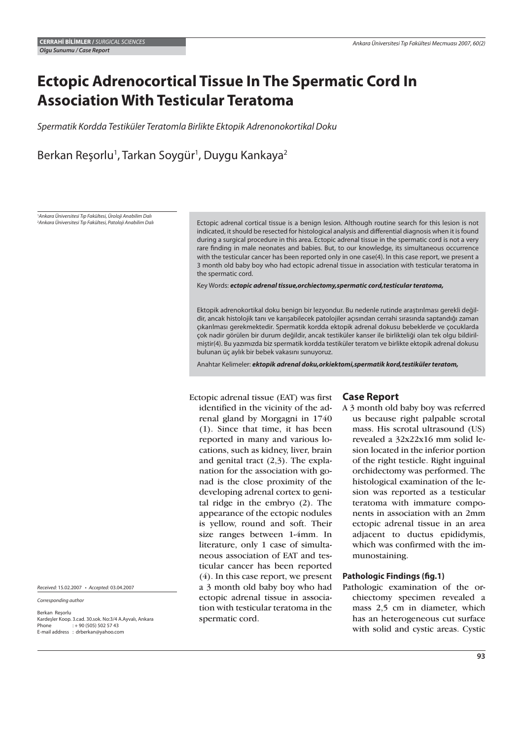# **Ectopic Adrenocortical Tissue In The Spermatic Cord In Association With Testicular Teratoma**

Spermatik Kordda Testiküler Teratomla Birlikte Ektopik Adrenonokortikal Doku

Berkan Reşorlu<sup>1</sup>, Tarkan Soygür<sup>1</sup>, Duygu Kankaya<sup>2</sup>

1 Ankara Üniversitesi Tıp Fakültesi, Üroloji Anabilim Dalı 2 Ankara Üniversitesi Tıp Fakültesi, Patoloji Anabilim Dalı

Ectopic adrenal cortical tissue is a benign lesion. Although routine search for this lesion is not indicated, it should be resected for histological analysis and differential diagnosis when it is found during a surgical procedure in this area. Ectopic adrenal tissue in the spermatic cord is not a very rare finding in male neonates and babies. But, to our knowledge, its simultaneous occurrence with the testicular cancer has been reported only in one case(4). In this case report, we present a 3 month old baby boy who had ectopic adrenal tissue in association with testicular teratoma in the spermatic cord.

Key Words: *ectopic adrenal tissue,orchiectomy,spermatic cord,testicular teratoma,*

Ektopik adrenokortikal doku benign bir lezyondur. Bu nedenle rutinde araştırılması gerekli değildir, ancak histolojik tanı ve karışabilecek patolojiler açısından cerrahi sırasında saptandığı zaman çıkarılması gerekmektedir. Spermatik kordda ektopik adrenal dokusu bebeklerde ve çocuklarda çok nadir görülen bir durum değildir, ancak testiküler kanser ile birlikteliği olan tek olgu bildirilmiştir(4). Bu yazımızda biz spermatik kordda testiküler teratom ve birlikte ektopik adrenal dokusu bulunan üç aylık bir bebek vakasını sunuyoruz.

Anahtar Kelimeler: *ektopik adrenal doku,orkiektomi,spermatik kord,testiküler teratom,*

Ectopic adrenal tissue (EAT) was first identified in the vicinity of the adrenal gland by Morgagni in 1740 (1). Since that time, it has been reported in many and various locations, such as kidney, liver, brain and genital tract (2,3). The explanation for the association with gonad is the close proximity of the developing adrenal cortex to genital ridge in the embryo (2). The appearance of the ectopic nodules is yellow, round and soft. Their size ranges between 1-4mm. In literature, only 1 case of simultaneous association of EAT and testicular cancer has been reported (4). In this case report, we present a 3 month old baby boy who had ectopic adrenal tissue in association with testicular teratoma in the spermatic cord.

### **Case Report**

A 3 month old baby boy was referred us because right palpable scrotal mass. His scrotal ultrasound (US) revealed a 32x22x16 mm solid lesion located in the inferior portion of the right testicle. Right inguinal orchidectomy was performed. The histological examination of the lesion was reported as a testicular teratoma with immature components in association with an 2mm ectopic adrenal tissue in an area adjacent to ductus epididymis, which was confirmed with the immunostaining.

### **Pathologic Findings (fig.1)**

Pathologic examination of the orchiectomy specimen revealed a mass 2,5 cm in diameter, which has an heterogeneous cut surface with solid and cystic areas. Cystic

Received: 15.02.2007 • Accepted: 03.04.2007

Corresponding author

Berkan Reşorlu Kardeşler Koop. 3.cad. 30.sok. No:3/4 A.Ayvalı, Ankara  $: + 90 (505) 502 57 43$ E-mail address : drberkan@yahoo.com